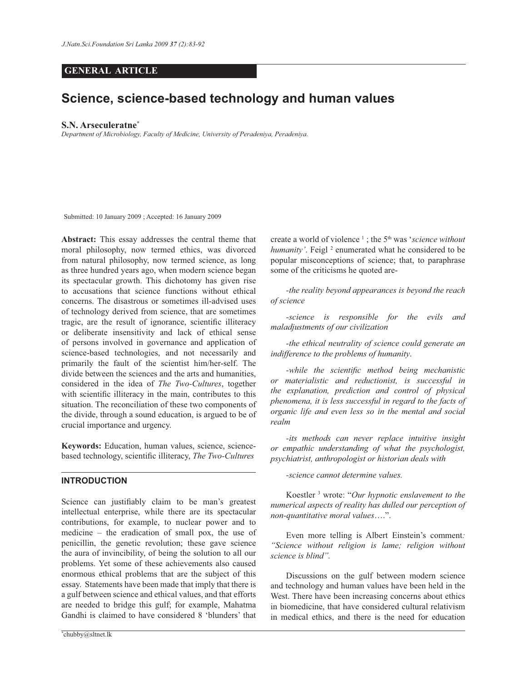# **GENERAL ARTICLE**

# **Science, science-based technology and human values**

#### **S.N. Arseculeratne\***

*Department of Microbiology, Faculty of Medicine, University of Peradeniya, Peradeniya.*

Submitted: 10 January 2009 ; Accepted: 16 January 2009

**Abstract:** This essay addresses the central theme that moral philosophy, now termed ethics, was divorced from natural philosophy, now termed science, as long as three hundred years ago, when modern science began its spectacular growth. This dichotomy has given rise to accusations that science functions without ethical concerns. The disastrous or sometimes ill-advised uses of technology derived from science, that are sometimes tragic, are the result of ignorance, scientific illiteracy or deliberate insensitivity and lack of ethical sense of persons involved in governance and application of science-based technologies, and not necessarily and primarily the fault of the scientist him/her-self. The divide between the sciences and the arts and humanities, considered in the idea of *The Two-Cultures*, together with scientific illiteracy in the main, contributes to this situation. The reconciliation of these two components of the divide, through a sound education, is argued to be of crucial importance and urgency.

**Keywords:** Education, human values, science, sciencebased technology, scientific illiteracy, *The Two-Cultures*

# **INTRODUCTION**

Science can justifiably claim to be man's greatest intellectual enterprise, while there are its spectacular contributions, for example, to nuclear power and to medicine – the eradication of small pox, the use of penicillin, the genetic revolution; these gave science the aura of invincibility, of being the solution to all our problems. Yet some of these achievements also caused enormous ethical problems that are the subject of this essay. Statements have been made that imply that there is a gulf between science and ethical values, and that efforts are needed to bridge this gulf; for example, Mahatma Gandhi is claimed to have considered 8 'blunders' that

\*chubby@sltnet.lk

create a world of violence <sup>1</sup> ; the 5th was '*science without*  humanity'. Feigl<sup>2</sup> enumerated what he considered to be popular misconceptions of science; that, to paraphrase some of the criticisms he quoted are-

 *-the reality beyond appearances is beyond the reach of science*

 *-science is responsible for the evils and maladjustments of our civilization*

 *-the ethical neutrality of science could generate an indifference to the problems of humanity*.

*-while the scientific method being mechanistic or materialistic and reductionist, is successful in the explanation, prediction and control of physical phenomena, it is less successful in regard to the facts of organic life and even less so in the mental and social realm*

 *-its methods can never replace intuitive insight or empathic understanding of what the psychologist, psychiatrist, anthropologist or historian deals with* 

 *-science cannot determine values.* 

Koestler <sup>3</sup> wrote: "*Our hypnotic enslavement to the numerical aspects of reality has dulled our perception of non-quantitative moral values*….".

 Even more telling is Albert Einstein's comment*: "Science without religion is lame; religion without science is blind".*

 Discussions on the gulf between modern science and technology and human values have been held in the West. There have been increasing concerns about ethics in biomedicine, that have considered cultural relativism in medical ethics, and there is the need for education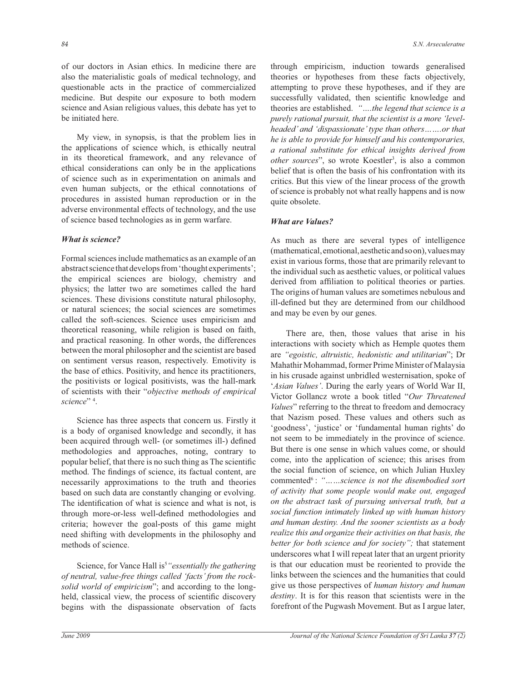of our doctors in Asian ethics. In medicine there are also the materialistic goals of medical technology, and questionable acts in the practice of commercialized medicine. But despite our exposure to both modern science and Asian religious values, this debate has yet to be initiated here.

 My view, in synopsis, is that the problem lies in the applications of science which, is ethically neutral in its theoretical framework, and any relevance of ethical considerations can only be in the applications of science such as in experimentation on animals and even human subjects, or the ethical connotations of procedures in assisted human reproduction or in the adverse environmental effects of technology, and the use of science based technologies as in germ warfare.

## *What is science?*

Formal sciences include mathematics as an example of an abstract science that develops from 'thought experiments'; the empirical sciences are biology, chemistry and physics; the latter two are sometimes called the hard sciences. These divisions constitute natural philosophy, or natural sciences; the social sciences are sometimes called the soft-sciences. Science uses empiricism and theoretical reasoning, while religion is based on faith, and practical reasoning. In other words, the differences between the moral philosopher and the scientist are based on sentiment versus reason, respectively. Emotivity is the base of ethics. Positivity, and hence its practitioners, the positivists or logical positivists, was the hall-mark of scientists with their "*objective methods of empirical science*" <sup>4</sup> .

 Science has three aspects that concern us. Firstly it is a body of organised knowledge and secondly, it has been acquired through well- (or sometimes ill-) defined methodologies and approaches, noting, contrary to popular belief, that there is no such thing as The scientific method. The findings of science, its factual content, are necessarily approximations to the truth and theories based on such data are constantly changing or evolving. The identification of what is science and what is not, is through more-or-less well-defined methodologies and criteria; however the goal-posts of this game might need shifting with developments in the philosophy and methods of science.

Science, for Vance Hall is<sup>5</sup> "essentially the gathering *of neutral, value-free things called 'facts' from the rocksolid world of empiricism*"; and according to the longheld, classical view, the process of scientific discovery begins with the dispassionate observation of facts

through empiricism, induction towards generalised theories or hypotheses from these facts objectively, attempting to prove these hypotheses, and if they are successfully validated, then scientific knowledge and theories are established. *"….the legend that science is a purely rational pursuit, that the scientist is a more 'levelheaded' and 'dispassionate' type than others…….or that he is able to provide for himself and his contemporaries, a rational substitute for ethical insights derived from other sources*", so wrote Koestler<sup>3</sup>, is also a common belief that is often the basis of his confrontation with its critics. But this view of the linear process of the growth of science is probably not what really happens and is now quite obsolete.

## *What are Values?*

As much as there are several types of intelligence (mathematical, emotional, aesthetic and so on), values may exist in various forms, those that are primarily relevant to the individual such as aesthetic values, or political values derived from affiliation to political theories or parties. The origins of human values are sometimes nebulous and ill-defined but they are determined from our childhood and may be even by our genes.

 There are, then, those values that arise in his interactions with society which as Hemple quotes them are *"egoistic, altruistic, hedonistic and utilitarian*"; Dr Mahathir Mohammad, former Prime Minister of Malaysia in his crusade against unbridled westernisation, spoke of '*Asian Values'*. During the early years of World War II, Victor Gollancz wrote a book titled "*Our Threatened Values*" referring to the threat to freedom and democracy that Nazism posed. These values and others such as 'goodness', 'justice' or 'fundamental human rights' do not seem to be immediately in the province of science. But there is one sense in which values come, or should come, into the application of science; this arises from the social function of science, on which Julian Huxley commented<sup>6</sup>: *"……science is not the disembodied sort of activity that some people would make out, engaged on the abstract task of pursuing universal truth, but a social function intimately linked up with human history and human destiny. And the sooner scientists as a body realize this and organize their activities on that basis, the better for both science and for society";* that statement underscores what I will repeat later that an urgent priority is that our education must be reoriented to provide the links between the sciences and the humanities that could give us those perspectives of *human history and human destiny*. It is for this reason that scientists were in the forefront of the Pugwash Movement. But as I argue later,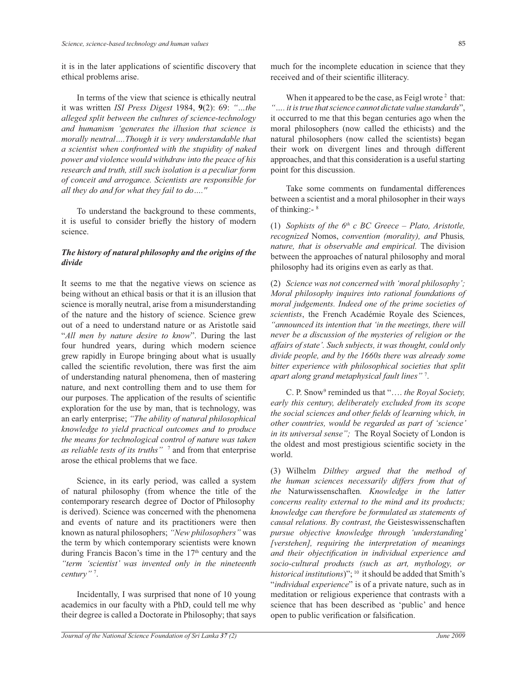it is in the later applications of scientific discovery that ethical problems arise.

 In terms of the view that science is ethically neutral it was written *ISI Press Digest* 1984, **9**(2): 69: *"…the alleged split between the cultures of science-technology and humanism 'generates the illusion that science is morally neutral….Though it is very understandable that a scientist when confronted with the stupidity of naked power and violence would withdraw into the peace of his research and truth, still such isolation is a peculiar form of conceit and arrogance. Scientists are responsible for all they do and for what they fail to do….''*

To understand the background to these comments, it is useful to consider briefly the history of modern science.

# *The history of natural philosophy and the origins of the divide*

It seems to me that the negative views on science as being without an ethical basis or that it is an illusion that science is morally neutral, arise from a misunderstanding of the nature and the history of science. Science grew out of a need to understand nature or as Aristotle said "*All men by nature desire to know*". During the last four hundred years, during which modern science grew rapidly in Europe bringing about what is usually called the scientific revolution, there was first the aim of understanding natural phenomena, then of mastering nature, and next controlling them and to use them for our purposes. The application of the results of scientific exploration for the use by man, that is technology, was an early enterprise; *"The ability of natural philosophical knowledge to yield practical outcomes and to produce the means for technological control of nature was taken as reliable tests of its truths"* <sup>7</sup> and from that enterprise arose the ethical problems that we face.

 Science, in its early period, was called a system of natural philosophy (from whence the title of the contemporary research degree of Doctor of Philosophy is derived). Science was concerned with the phenomena and events of nature and its practitioners were then known as natural philosophers; *"New philosophers"* was the term by which contemporary scientists were known during Francis Bacon's time in the 17<sup>th</sup> century and the *"term 'scientist' was invented only in the nineteenth century"* <sup>7</sup> .

 Incidentally, I was surprised that none of 10 young academics in our faculty with a PhD, could tell me why their degree is called a Doctorate in Philosophy; that says much for the incomplete education in science that they received and of their scientific illiteracy.

When it appeared to be the case, as Feigl wrote  $2$  that: *"…. it is true thatscience cannot dictate value standards*", it occurred to me that this began centuries ago when the moral philosophers (now called the ethicists) and the natural philosophers (now called the scientists) began their work on divergent lines and through different approaches, and that this consideration is a useful starting point for this discussion.

 Take some comments on fundamental differences between a scientist and a moral philosopher in their ways of thinking:- 8

(1) *Sophists of the 6th c BC Greece – Plato, Aristotle, recognized* Nomos, *convention (morality), and* Phusis*, nature, that is observable and empirical.* The division between the approaches of natural philosophy and moral philosophy had its origins even as early as that.

(2) *Science was not concerned with 'moral philosophy'; Moral philosophy inquires into rational foundations of moral judgements. Indeed one of the prime societies of scientists*, the French Académie Royale des Sciences, *"announced its intention that 'in the meetings, there will never be a discussion of the mysteries of religion or the affairs of state'. Such subjects, it was thought, could only divide people, and by the 1660s there was already some bitter experience with philosophical societies that split apart along grand metaphysical fault lines"* <sup>7</sup> .

 C. P. Snow<sup>9</sup> reminded us that "…. *the Royal Society, early this century, deliberately excluded from its scope the social sciences and other fields of learning which, in other countries, would be regarded as part of 'science' in its universal sense";* The Royal Society of London is the oldest and most prestigious scientific society in the world.

(3) Wilhelm *Dilthey argued that the method of the human sciences necessarily differs from that of the* Naturwissenschaften*. Knowledge in the latter concerns reality external to the mind and its products; knowledge can therefore be formulated as statements of causal relations. By contrast, the* Geisteswissenschaften *pursue objective knowledge through 'understanding' [verstehen], requiring the interpretation of meanings and their objectification in individual experience and socio-cultural products (such as art, mythology, or*  historical institutions)"; <sup>10</sup> it should be added that Smith's "*individual experience*" is of a private nature, such as in meditation or religious experience that contrasts with a science that has been described as 'public' and hence open to public verification or falsification.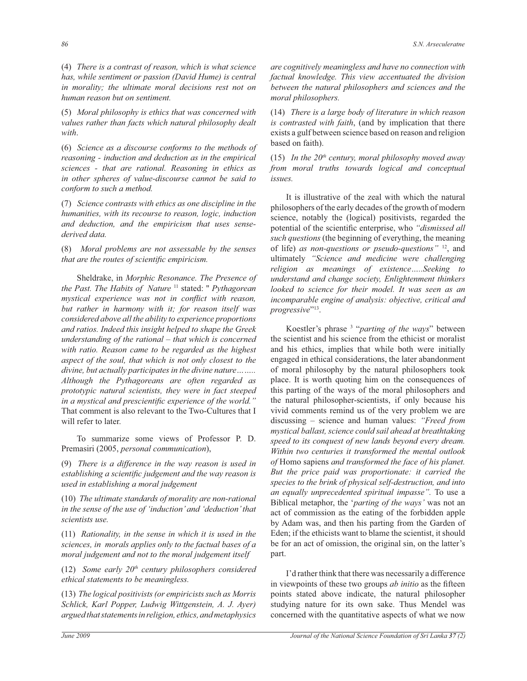(4) *There is a contrast of reason, which is what science has, while sentiment or passion (David Hume) is central in morality; the ultimate moral decisions rest not on human reason but on sentiment.*

(5) *Moral philosophy is ethics that was concerned with values rather than facts which natural philosophy dealt with*.

(6) *Science as a discourse conforms to the methods of reasoning - induction and deduction as in the empirical sciences - that are rational. Reasoning in ethics as in other spheres of value-discourse cannot be said to conform to such a method.* 

(7) *Science contrasts with ethics as one discipline in the humanities, with its recourse to reason, logic, induction and deduction, and the empiricism that uses sensederived data.*

(8) *Moral problems are not assessable by the senses that are the routes of scientific empiricism.*

 Sheldrake, in *Morphic Resonance. The Presence of the Past. The Habits of Nature* <sup>11</sup> stated: '' *Pythagorean mystical experience was not in conflict with reason, but rather in harmony with it; for reason itself was considered above all the ability to experience proportions and ratios. Indeed this insight helped to shape the Greek understanding of the rational – that which is concerned with ratio. Reason came to be regarded as the highest aspect of the soul, that which is not only closest to the divine, but actually participates in the divine nature…….. Although the Pythagoreans are often regarded as prototypic natural scientists, they were in fact steeped in a mystical and prescientific experience of the world."*  That comment is also relevant to the Two-Cultures that I will refer to later.

 To summarize some views of Professor P. D. Premasiri (2005, *personal communication*),

(9) *There is a difference in the way reason is used in establishing a scientific judgement and the way reason is used in establishing a moral judgement*

(10) *The ultimate standards of morality are non-rational in the sense of the use of 'induction' and 'deduction' that scientists use.*

(11) *Rationality, in the sense in which it is used in the sciences, in morals applies only to the factual bases of a moral judgement and not to the moral judgement itself* 

(12) *Some early 20th century philosophers considered ethical statements to be meaningless.*

(13) *The logical positivists (or empiricists such as Morris Schlick, Karl Popper, Ludwig Wittgenstein, A. J. Ayer) argued that statements in religion, ethics, and metaphysics* 

*are cognitively meaningless and have no connection with factual knowledge. This view accentuated the division between the natural philosophers and sciences and the moral philosophers.* 

(14) *There is a large body of literature in which reason is contrasted with faith*, (and by implication that there exists a gulf between science based on reason and religion based on faith).

(15) *In the 20th century, moral philosophy moved away from moral truths towards logical and conceptual issues.* 

 It is illustrative of the zeal with which the natural philosophers of the early decades of the growth of modern science, notably the (logical) positivists, regarded the potential of the scientific enterprise, who *"dismissed all such questions* (the beginning of everything, the meaning of life) *as non-questions or pseudo-questions"* <sup>12</sup> , and ultimately *"Science and medicine were challenging religion as meanings of existence…..Seeking to understand and change society, Enlightenment thinkers looked to science for their model. It was seen as an incomparable engine of analysis: objective, critical and*  progressive"<sup>13</sup>.

 Koestler's phrase <sup>3</sup> "*parting of the ways*" between the scientist and his science from the ethicist or moralist and his ethics, implies that while both were initially engaged in ethical considerations, the later abandonment of moral philosophy by the natural philosophers took place. It is worth quoting him on the consequences of this parting of the ways of the moral philosophers and the natural philosopher-scientists, if only because his vivid comments remind us of the very problem we are discussing – science and human values: *"Freed from mystical ballast, science could sail ahead at breathtaking speed to its conquest of new lands beyond every dream. Within two centuries it transformed the mental outlook of* Homo sapiens *and transformed the face of his planet. But the price paid was proportionate: it carried the species to the brink of physical self-destruction, and into an equally unprecedented spiritual impasse".* To use a Biblical metaphor, the '*parting of the ways'* was not an act of commission as the eating of the forbidden apple by Adam was, and then his parting from the Garden of Eden; if the ethicists want to blame the scientist, it should be for an act of omission, the original sin, on the latter's part.

 I'd rather think that there was necessarily a difference in viewpoints of these two groups *ab initio* as the fifteen points stated above indicate, the natural philosopher studying nature for its own sake. Thus Mendel was concerned with the quantitative aspects of what we now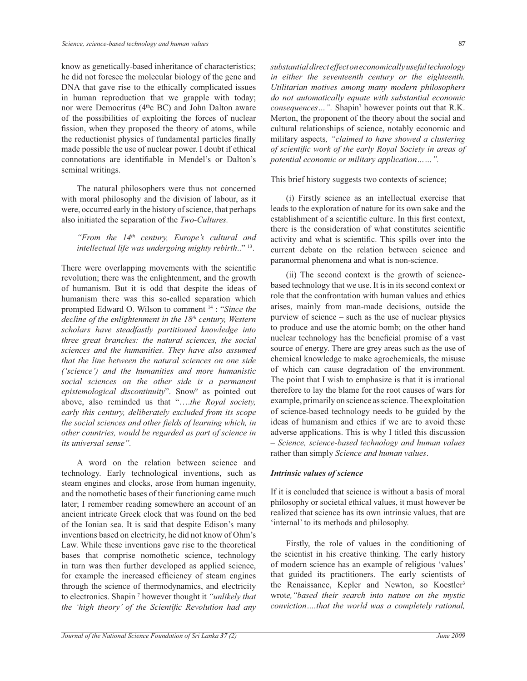know as genetically-based inheritance of characteristics; he did not foresee the molecular biology of the gene and DNA that gave rise to the ethically complicated issues in human reproduction that we grapple with today; nor were Democritus (4<sup>th</sup>c BC) and John Dalton aware of the possibilities of exploiting the forces of nuclear fission, when they proposed the theory of atoms, while the reductionist physics of fundamental particles finally made possible the use of nuclear power. I doubt if ethical connotations are identifiable in Mendel's or Dalton's seminal writings.

 The natural philosophers were thus not concerned with moral philosophy and the division of labour, as it were, occurred early in the history of science, that perhaps also initiated the separation of the *Two-Cultures.* 

*"From the 14th century, Europe's cultural and intellectual life was undergoing mighty rebirth*.." <sup>13</sup> .

There were overlapping movements with the scientific revolution; there was the enlightenment, and the growth of humanism. But it is odd that despite the ideas of humanism there was this so-called separation which prompted Edward O. Wilson to comment <sup>14</sup> : "*Since the decline of the enlightenment in the 18th century, Western scholars have steadfastly partitioned knowledge into three great branches: the natural sciences, the social sciences and the humanities. They have also assumed that the line between the natural sciences on one side ('science') and the humanities and more humanistic social sciences on the other side is a permanent*  epistemological discontinuity". Snow<sup>9</sup> as pointed out above, also reminded us that "….*the Royal society, early this century, deliberately excluded from its scope the social sciences and other fields of learning which, in other countries, would be regarded as part of science in its universal sense".*

 A word on the relation between science and technology. Early technological inventions, such as steam engines and clocks, arose from human ingenuity, and the nomothetic bases of their functioning came much later; I remember reading somewhere an account of an ancient intricate Greek clock that was found on the bed of the Ionian sea. It is said that despite Edison's many inventions based on electricity, he did not know of Ohm's Law. While these inventions gave rise to the theoretical bases that comprise nomothetic science, technology in turn was then further developed as applied science, for example the increased efficiency of steam engines through the science of thermodynamics, and electricity to electronics. Shapin <sup>7</sup> however thought it *"unlikely that the 'high theory' of the Scientific Revolution had any* 

*substantial direct effect on economically useful technology in either the seventeenth century or the eighteenth. Utilitarian motives among many modern philosophers do not automatically equate with substantial economic consequences…".* Shapin<sup>7</sup> however points out that R.K. Merton, the proponent of the theory about the social and cultural relationships of science, notably economic and military aspects*, "claimed to have showed a clustering of scientific work of the early Royal Society in areas of potential economic or military application……".*

This brief history suggests two contexts of science;

 (i) Firstly science as an intellectual exercise that leads to the exploration of nature for its own sake and the establishment of a scientific culture. In this first context, there is the consideration of what constitutes scientific activity and what is scientific. This spills over into the current debate on the relation between science and paranormal phenomena and what is non-science.

 (ii) The second context is the growth of sciencebased technology that we use. It is in its second context or role that the confrontation with human values and ethics arises, mainly from man-made decisions, outside the purview of science – such as the use of nuclear physics to produce and use the atomic bomb; on the other hand nuclear technology has the beneficial promise of a vast source of energy. There are grey areas such as the use of chemical knowledge to make agrochemicals, the misuse of which can cause degradation of the environment. The point that I wish to emphasize is that it is irrational therefore to lay the blame for the root causes of wars for example, primarily on science as science. The exploitation of science-based technology needs to be guided by the ideas of humanism and ethics if we are to avoid these adverse applications. This is why I titled this discussion – *Science, science-based technology and human values*  rather than simply *Science and human values*.

## *Intrinsic values of science*

If it is concluded that science is without a basis of moral philosophy or societal ethical values, it must however be realized that science has its own intrinsic values, that are 'internal' to its methods and philosophy.

 Firstly, the role of values in the conditioning of the scientist in his creative thinking. The early history of modern science has an example of religious 'values' that guided its practitioners. The early scientists of the Renaissance, Kepler and Newton, so Koestler<sup>3</sup> wrot*e,"based their search into nature on the mystic conviction….that the world was a completely rational,*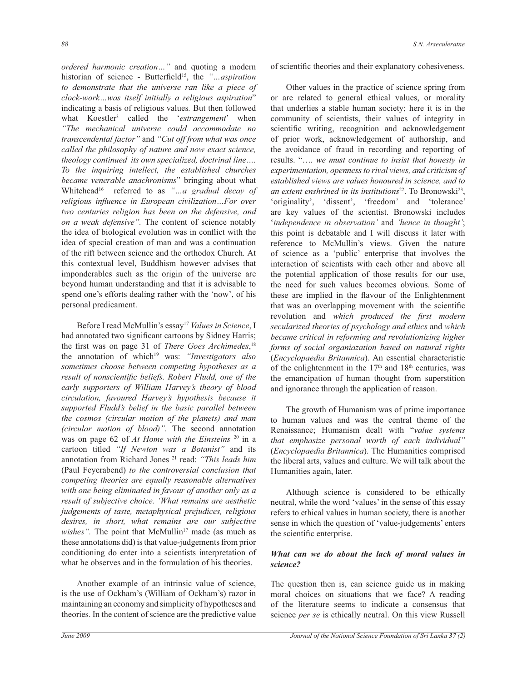*ordered harmonic creation…"* and quoting a modern historian of science - Butterfield<sup>15</sup>, the *"…aspiration to demonstrate that the universe ran like a piece of clock-work…was itself initially a religious aspiration*" indicating a basis of religious values*.* But then followed what Koestler<sup>3</sup> called the '*estrangement*' when *"The mechanical universe could accommodate no transcendental factor"* and *"Cut off from what was once called the philosophy of nature and now exact science, theology continued its own specialized, doctrinal line…. To the inquiring intellect, the established churches became venerable anachronisms*" bringing about what Whitehead<sup>16</sup> referred to as "...a gradual decay of *religious influence in European civilization…For over two centuries religion has been on the defensive, and on a weak defensive".* The content of science notably the idea of biological evolution was in conflict with the idea of special creation of man and was a continuation of the rift between science and the orthodox Church*.* At this contextual level, Buddhism however advises that imponderables such as the origin of the universe are beyond human understanding and that it is advisable to spend one's efforts dealing rather with the 'now', of his personal predicament.

Before I read McMullin's essay<sup>17</sup> Values in Science, I had annotated two significant cartoons by Sidney Harris; the first was on page 31 of *There Goes Archimedes*, 18 the annotation of which<sup>19</sup> was: *"Investigators also sometimes choose between competing hypotheses as a result of nonscientific beliefs. Robert Fludd, one of the early supporters of William Harvey's theory of blood circulation, favoured Harvey's hypothesis because it supported Fludd's belief in the basic parallel between the cosmos (circular motion of the planets) and man (circular motion of blood)".* The second annotation was on page 62 of *At Home with the Einsteins* <sup>20</sup> in a cartoon titled *"If Newton was a Botanist"* and its annotation from Richard Jones <sup>21</sup> read: *"This leads him*  (Paul Feyerabend) *to the controversial conclusion that competing theories are equally reasonable alternatives with one being eliminated in favour of another only as a result of subjective choice. 'What remains are aesthetic judgements of taste, metaphysical prejudices, religious desires, in short, what remains are our subjective wishes*". The point that McMullin<sup>17</sup> made (as much as these annotations did) is that value-judgements from prior conditioning do enter into a scientists interpretation of what he observes and in the formulation of his theories.

 Another example of an intrinsic value of science, is the use of Ockham's (William of Ockham's) razor in maintaining an economy and simplicity of hypotheses and theories. In the content of science are the predictive value of scientific theories and their explanatory cohesiveness.

 Other values in the practice of science spring from or are related to general ethical values, or morality that underlies a stable human society; here it is in the community of scientists, their values of integrity in scientific writing, recognition and acknowledgement of prior work, acknowledgement of authorship, and the avoidance of fraud in recording and reporting of results. "…*. we must continue to insist that honesty in experimentation, openness to rival views, and criticism of established views are values honoured in science, and to*  an extent enshrined in its institutions<sup>22</sup>. To Bronowski<sup>23</sup>, 'originality', 'dissent', 'freedom' and 'tolerance' are key values of the scientist. Bronowski includes '*independence in observation'* and *'hence in thought'*; this point is debatable and I will discuss it later with reference to McMullin's views. Given the nature of science as a 'public' enterprise that involves the interaction of scientists with each other and above all the potential application of those results for our use, the need for such values becomes obvious. Some of these are implied in the flavour of the Enlightenment that was an overlapping movement with the scientific revolution and *which produced the first modern secularized theories of psychology and ethics* and *which became critical in reforming and revolutionizing higher forms of social organiazation based on natural rights* (*Encyclopaedia Britannica*). An essential characteristic of the enlightenment in the  $17<sup>th</sup>$  and  $18<sup>th</sup>$  centuries, was the emancipation of human thought from superstition and ignorance through the application of reason.

 The growth of Humanism was of prime importance to human values and was the central theme of the Renaissance; Humanism dealt with "*value systems that emphasize personal worth of each individual"*  (*Encyclopaedia Britannica*)*.* The Humanities comprised the liberal arts, values and culture. We will talk about the Humanities again, later.

 Although science is considered to be ethically neutral, while the word 'values' in the sense of this essay refers to ethical values in human society, there is another sense in which the question of 'value-judgements' enters the scientific enterprise.

## *What can we do about the lack of moral values in science?*

The question then is, can science guide us in making moral choices on situations that we face? A reading of the literature seems to indicate a consensus that science *per se* is ethically neutral. On this view Russell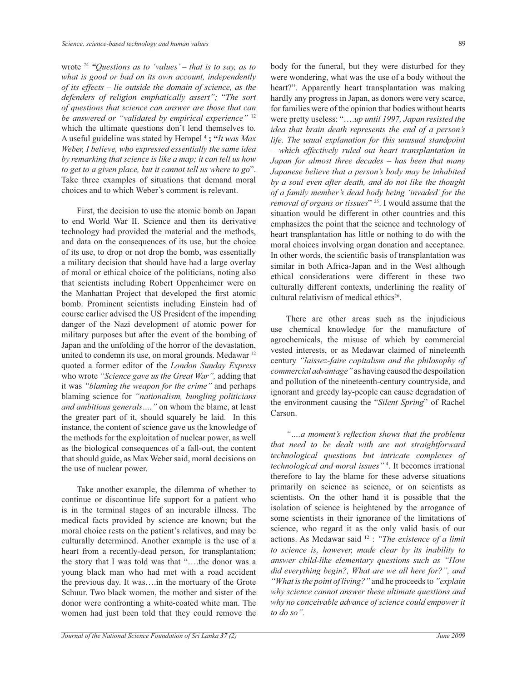wrote <sup>24</sup> "Questions as to 'values' – that is to say, as to *what is good or bad on its own account, independently of its effects – lie outside the domain of science, as the defenders of religion emphatically assert";* "*The sort of questions that science can answer are those that can be answered or "validated by empirical experience"* <sup>12</sup> which the ultimate questions don't lend themselves to*.*  A useful guideline was stated by Hempel <sup>4</sup> **; "***It was Max Weber, I believe, who expressed essentially the same idea by remarking that science is like a map; it can tell us how to get to a given place, but it cannot tell us where to go*". Take three examples of situations that demand moral choices and to which Weber's comment is relevant.

 First, the decision to use the atomic bomb on Japan to end World War II. Science and then its derivative technology had provided the material and the methods, and data on the consequences of its use, but the choice of its use, to drop or not drop the bomb, was essentially a military decision that should have had a large overlay of moral or ethical choice of the politicians, noting also that scientists including Robert Oppenheimer were on the Manhattan Project that developed the first atomic bomb. Prominent scientists including Einstein had of course earlier advised the US President of the impending danger of the Nazi development of atomic power for military purposes but after the event of the bombing of Japan and the unfolding of the horror of the devastation, united to condemn its use, on moral grounds. Medawar<sup>12</sup> quoted a former editor of the *London Sunday Express*  who wrote *"Science gave us the Great War",* adding that it was *"blaming the weapon for the crime"* and perhaps blaming science for *"nationalism, bungling politicians and ambitious generals…."* on whom the blame, at least the greater part of it, should squarely be laid. In this instance, the content of science gave us the knowledge of the methods for the exploitation of nuclear power, as well as the biological consequences of a fall-out, the content that should guide, as Max Weber said, moral decisions on the use of nuclear power.

 Take another example, the dilemma of whether to continue or discontinue life support for a patient who is in the terminal stages of an incurable illness. The medical facts provided by science are known; but the moral choice rests on the patient's relatives, and may be culturally determined. Another example is the use of a heart from a recently-dead person, for transplantation; the story that I was told was that "….the donor was a young black man who had met with a road accident the previous day. It was….in the mortuary of the Grote Schuur. Two black women, the mother and sister of the donor were confronting a white-coated white man. The women had just been told that they could remove the

body for the funeral, but they were disturbed for they were wondering, what was the use of a body without the heart?". Apparently heart transplantation was making hardly any progress in Japan, as donors were very scarce, for families were of the opinion that bodies without hearts were pretty useless: "….*up until 1997, Japan resisted the idea that brain death represents the end of a person's life. The usual explanation for this unusual standpoint – which effectively ruled out heart transplantation in Japan for almost three decades – has been that many Japanese believe that a person's body may be inhabited by a soul even after death, and do not like the thought of a family member's dead body being 'invaded' for the removal of organs or tissues*" <sup>25</sup>. I would assume that the situation would be different in other countries and this emphasizes the point that the science and technology of heart transplantation has little or nothing to do with the moral choices involving organ donation and acceptance. In other words, the scientific basis of transplantation was similar in both Africa-Japan and in the West although ethical considerations were different in these two culturally different contexts, underlining the reality of cultural relativism of medical ethics<sup>26</sup>.

 There are other areas such as the injudicious use chemical knowledge for the manufacture of agrochemicals, the misuse of which by commercial vested interests, or as Medawar claimed of nineteenth century *"laissez-faire capitalism and the philosophy of commercial advantage"* as having caused the despoilation and pollution of the nineteenth-century countryside, and ignorant and greedy lay-people can cause degradation of the environment causing the "*Silent Spring*" of Rachel Carson.

 *"….a moment's reflection shows that the problems that need to be dealt with are not straightforward technological questions but intricate complexes of technological and moral issues"* <sup>4</sup> . It becomes irrational therefore to lay the blame for these adverse situations primarily on science as science, or on scientists as scientists. On the other hand it is possible that the isolation of science is heightened by the arrogance of some scientists in their ignorance of the limitations of science, who regard it as the only valid basis of our actions. As Medawar said <sup>12</sup> : *"The existence of a limit to science is, however, made clear by its inability to answer child-like elementary questions such as "How did everything begin?, What are we all here for?", and*  "What is the point of living?" and he proceeds to "explain *why science cannot answer these ultimate questions and why no conceivable advance of science could empower it to do so".*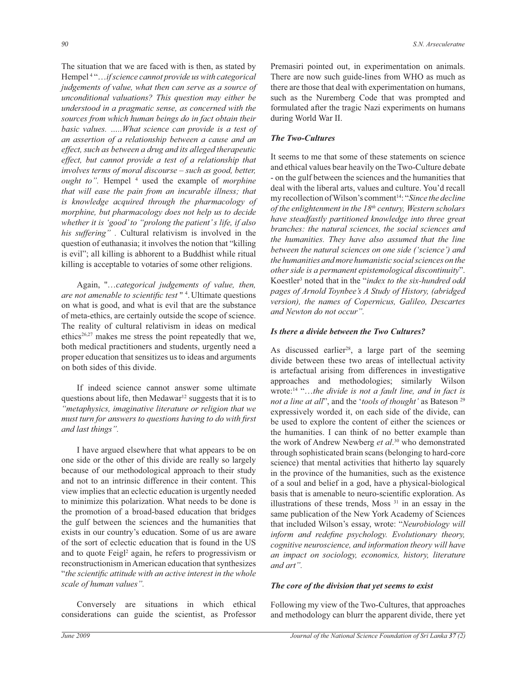The situation that we are faced with is then, as stated by Hempel <sup>4</sup> "…*if science cannot provide us with categorical judgements of value, what then can serve as a source of unconditional valuations? This question may either be understood in a pragmatic sense, as concerned with the sources from which human beings do in fact obtain their basic values. …..What science can provide is a test of an assertion of a relationship between a cause and an effect, such as between a drug and its alleged therapeutic effect, but cannot provide a test of a relationship that involves terms of moral discourse – such as good, better, ought to".* Hempel <sup>4</sup> used the example of *morphine that will ease the pain from an incurable illness; that is knowledge acquired through the pharmacology of morphine, but pharmacology does not help us to decide whether it is 'good' to "prolong the patient' s life, if also his suffering" .* Cultural relativism is involved in the question of euthanasia; it involves the notion that "killing is evil"; all killing is abhorent to a Buddhist while ritual killing is acceptable to votaries of some other religions.

 Again, ''…*categorical judgements of value, then, are not amenable to scientific test* '' <sup>4</sup> . Ultimate questions on what is good, and what is evil that are the substance of meta-ethics, are certainly outside the scope of science. The reality of cultural relativism in ideas on medical ethics<sup>26,27</sup> makes me stress the point repeatedly that we, both medical practitioners and students, urgently need a proper education that sensitizes us to ideas and arguments on both sides of this divide.

 If indeed science cannot answer some ultimate questions about life, then Medawar<sup>12</sup> suggests that it is to *"metaphysics, imaginative literature or religion that we must turn for answers to questions having to do with first and last things".*

 I have argued elsewhere that what appears to be on one side or the other of this divide are really so largely because of our methodological approach to their study and not to an intrinsic difference in their content. This view implies that an eclectic education is urgently needed to minimize this polarization. What needs to be done is the promotion of a broad-based education that bridges the gulf between the sciences and the humanities that exists in our country's education. Some of us are aware of the sort of eclectic education that is found in the US and to quote Feigl<sup>2</sup> again, he refers to progressivism or reconstructionism in American education that synthesizes "*the scientific attitude with an active interest in the whole scale of human values".* 

 Conversely are situations in which ethical considerations can guide the scientist, as Professor Premasiri pointed out, in experimentation on animals. There are now such guide-lines from WHO as much as there are those that deal with experimentation on humans, such as the Nuremberg Code that was prompted and formulated after the tragic Nazi experiments on humans during World War II.

## *The Two-Cultures*

It seems to me that some of these statements on science and ethical values bear heavily on the Two-Culture debate - on the gulf between the sciences and the humanities that deal with the liberal arts, values and culture. You'd recall my recollection of Wilson's comment<sup>14</sup>: "*Since the decline of the enlightenment in the 18th century, Western scholars have steadfastly partitioned knowledge into three great branches: the natural sciences, the social sciences and the humanities. They have also assumed that the line between the natural sciences on one side ('science') and the humanities and more humanistic social sciences on the other side is a permanent epistemological discontinuity*". Koestler<sup>3</sup> noted that in the "*index to the six-hundred odd pages of Arnold Toynbee's A Study of History, (abridged version), the names of Copernicus, Galileo, Descartes and Newton do not occur".*

## *Is there a divide between the Two Cultures?*

As discussed earlier<sup>28</sup>, a large part of the seeming divide between these two areas of intellectual activity is artefactual arising from differences in investigative approaches and methodologies; similarly Wilson wrote:<sup>14</sup> "…*the divide is not a fault line, and in fact is not a line at all*", and the '*tools of thought'* as Bateson <sup>29</sup> expressively worded it, on each side of the divide, can be used to explore the content of either the sciences or the humanities. I can think of no better example than the work of Andrew Newberg *et al*. <sup>30</sup> who demonstrated through sophisticated brain scans (belonging to hard-core science) that mental activities that hitherto lay squarely in the province of the humanities, such as the existence of a soul and belief in a god, have a physical-biological basis that is amenable to neuro-scientific exploration. As illustrations of these trends, Moss <sup>31</sup> in an essay in the same publication of the New York Academy of Sciences that included Wilson's essay, wrote: "*Neurobiology will inform and redefine psychology. Evolutionary theory, cognitive neuroscience, and information theory will have an impact on sociology, economics, history, literature and art".*

#### *The core of the division that yet seems to exist*

Following my view of the Two-Cultures, that approaches and methodology can blurr the apparent divide, there yet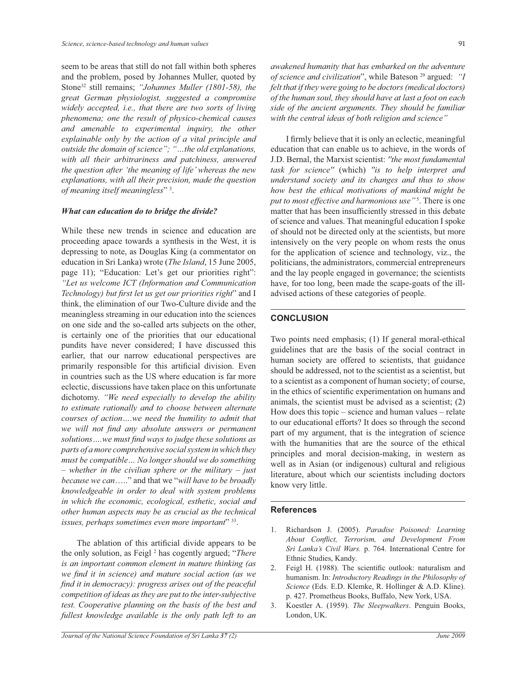seem to be areas that still do not fall within both spheres and the problem, posed by Johannes Muller, quoted by Stone<sup>32</sup> still remains; *"Johannes Muller (1801-58), the great German physiologist, suggested a compromise widely accepted, i.e., that there are two sorts of living phenomena; one the result of physico-chemical causes and amenable to experimental inquiry, the other explainable only by the action of a vital principle and outside the domain of science"; "…the old explanations, with all their arbitrariness and patchiness, answered the question after 'the meaning of life' whereas the new explanations, with all their precision, made the question of meaning itself meaningless*" <sup>3</sup> .

#### *What can education do to bridge the divide?*

While these new trends in science and education are proceeding apace towards a synthesis in the West, it is depressing to note, as Douglas King (a commentator on education in Sri Lanka) wrote (*The Island*, 15 June 2005, page 11); "Education: Let's get our priorities right": *"Let us welcome ICT (Information and Communication Technology) but first let us get our priorities right*" and I think, the elimination of our Two-Culture divide and the meaningless streaming in our education into the sciences on one side and the so-called arts subjects on the other, is certainly one of the priorities that our educational pundits have never considered; I have discussed this earlier, that our narrow educational perspectives are primarily responsible for this artificial division. Even in countries such as the US where education is far more eclectic, discussions have taken place on this unfortunate dichotomy. *"We need especially to develop the ability to estimate rationally and to choose between alternate courses of action….we need the humility to admit that we will not find any absolute answers or permanent solutions….we must find ways to judge these solutions as parts of a more comprehensive social system in which they must be compatible… No longer should we do something – whether in the civilian sphere or the military – just because we can*….." and that we "*will have to be broadly knowledgeable in order to deal with system problems in which the economic, ecological, esthetic, social and other human aspects may be as crucial as the technical issues, perhaps sometimes even more important*" <sup>33</sup> .

 The ablation of this artificial divide appears to be the only solution, as Feigl <sup>2</sup> has cogently argued; "*There is an important common element in mature thinking (as we find it in science) and mature social action (as we find it in democracy): progress arises out of the peaceful competition of ideas as they are put to the inter-subjective test. Cooperative planning on the basis of the best and fullest knowledge available is the only path left to an* 

*awakened humanity that has embarked on the adventure of science and civilization*", while Bateson <sup>29</sup> argued: *"I felt that if they were going to be doctors (medical doctors) of the human soul, they should have at last a foot on each side of the ancient arguments. They should be familiar with the central ideas of both religion and science"*

 I firmly believe that it is only an eclectic, meaningful education that can enable us to achieve, in the words of J.D. Bernal, the Marxist scientist: *''the most fundamental task for science''* (which) *''is to help interpret and understand society and its changes and thus to show how best the ethical motivations of mankind might be put to most effective and harmonious use"* <sup>5</sup> . There is one matter that has been insufficiently stressed in this debate of science and values. That meaningful education I spoke of should not be directed only at the scientists, but more intensively on the very people on whom rests the onus for the application of science and technology, viz., the politicians, the administrators, commercial entrepreneurs and the lay people engaged in governance; the scientists have, for too long, been made the scape-goats of the illadvised actions of these categories of people.

## **CONCLUSION**

Two points need emphasis; (1) If general moral-ethical guidelines that are the basis of the social contract in human society are offered to scientists, that guidance should be addressed, not to the scientist as a scientist, but to a scientist as a component of human society; of course, in the ethics of scientific experimentation on humans and animals, the scientist must be advised as a scientist; (2) How does this topic – science and human values – relate to our educational efforts? It does so through the second part of my argument, that is the integration of science with the humanities that are the source of the ethical principles and moral decision-making, in western as well as in Asian (or indigenous) cultural and religious literature, about which our scientists including doctors know very little.

## **References**

- 1. Richardson J. (2005). *Paradise Poisoned: Learning About Conflict, Terrorism, and Development From Sri Lanka's Civil Wars.* p. 764. International Centre for Ethnic Studies, Kandy.
- 2. Feigl H. (1988). The scientific outlook: naturalism and humanism. In: *Introductory Readings in the Philosophy of Science* (Eds. E.D. Klemke, R. Hollinger & A.D. Kline). p. 427. Prometheus Books, Buffalo, New York, USA.
- 3. Koestler A. (1959). *The Sleepwalkers*. Penguin Books, London, UK.